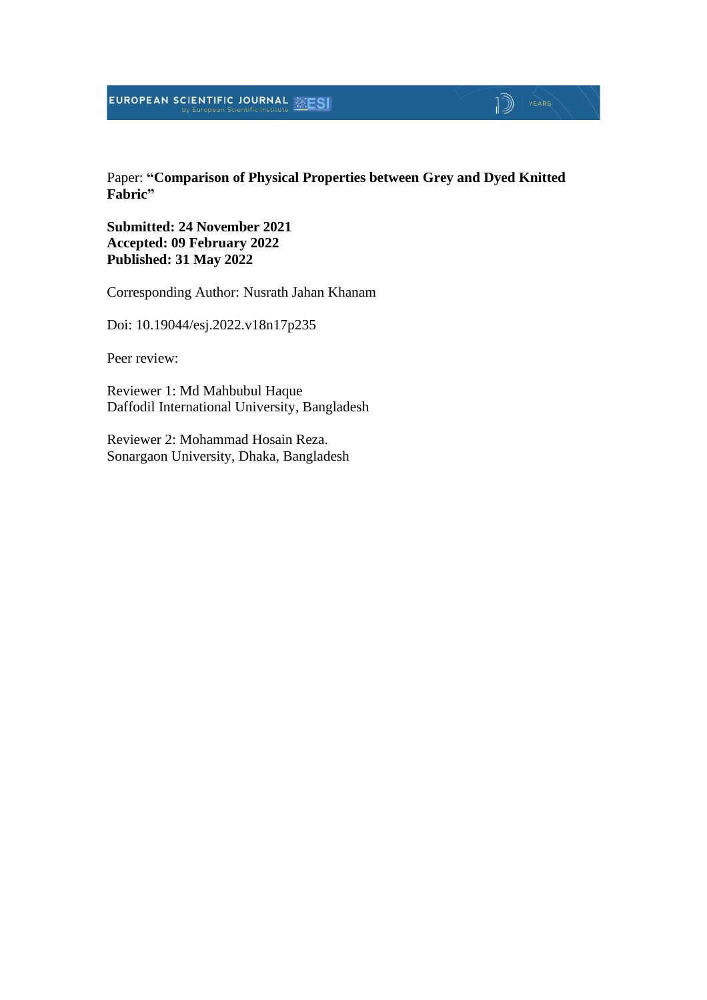#### EUROPEAN SCIENTIFIC JOURNAL MESI

#### Paper: **"Comparison of Physical Properties between Grey and Dyed Knitted Fabric"**

 $\mathbb{D}$  | YEARS

**Submitted: 24 November 2021 Accepted: 09 February 2022 Published: 31 May 2022**

Corresponding Author: Nusrath Jahan Khanam

Doi: 10.19044/esj.2022.v18n17p235

Peer review:

Reviewer 1: Md Mahbubul Haque Daffodil International University, Bangladesh

Reviewer 2: Mohammad Hosain Reza. Sonargaon University, Dhaka, Bangladesh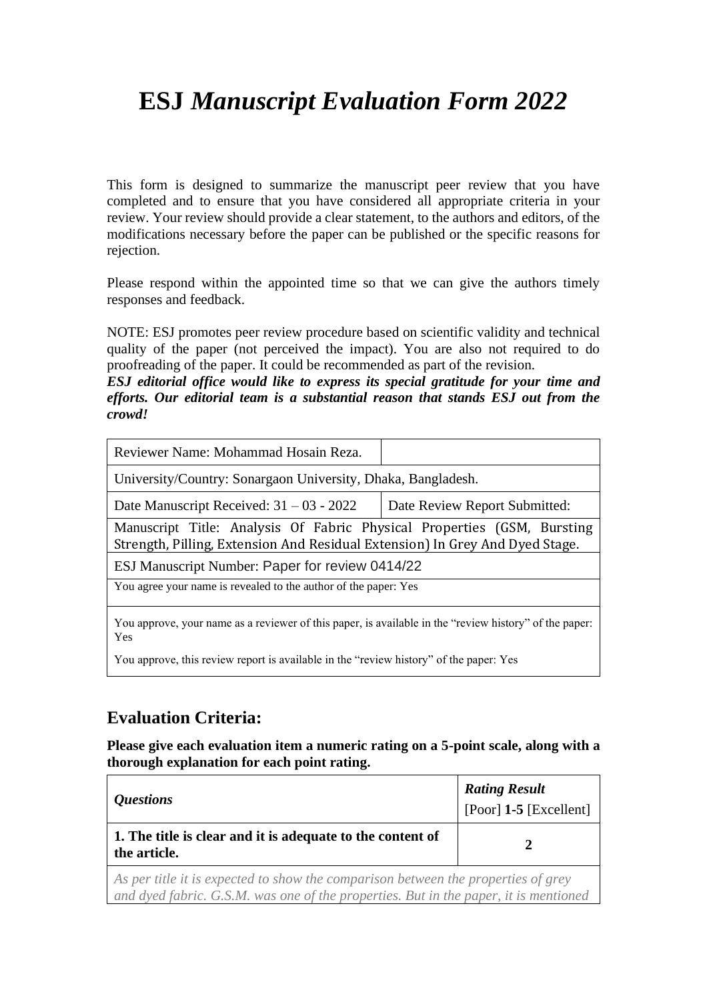# **ESJ** *Manuscript Evaluation Form 2022*

This form is designed to summarize the manuscript peer review that you have completed and to ensure that you have considered all appropriate criteria in your review. Your review should provide a clear statement, to the authors and editors, of the modifications necessary before the paper can be published or the specific reasons for rejection.

Please respond within the appointed time so that we can give the authors timely responses and feedback.

NOTE: ESJ promotes peer review procedure based on scientific validity and technical quality of the paper (not perceived the impact). You are also not required to do proofreading of the paper. It could be recommended as part of the revision.

*ESJ editorial office would like to express its special gratitude for your time and efforts. Our editorial team is a substantial reason that stands ESJ out from the crowd!*

| Reviewer Name: Mohammad Hosain Reza.                                                                                                                    |                               |  |  |  |  |  |  |
|---------------------------------------------------------------------------------------------------------------------------------------------------------|-------------------------------|--|--|--|--|--|--|
| University/Country: Sonargaon University, Dhaka, Bangladesh.                                                                                            |                               |  |  |  |  |  |  |
| Date Manuscript Received: $31 - 03 - 2022$                                                                                                              | Date Review Report Submitted: |  |  |  |  |  |  |
| Manuscript Title: Analysis Of Fabric Physical Properties (GSM, Bursting<br>Strength, Pilling, Extension And Residual Extension) In Grey And Dyed Stage. |                               |  |  |  |  |  |  |
| ESJ Manuscript Number: Paper for review 0414/22                                                                                                         |                               |  |  |  |  |  |  |
| You agree your name is revealed to the author of the paper: Yes                                                                                         |                               |  |  |  |  |  |  |
| You approve, your name as a reviewer of this paper, is available in the "review history" of the paper:<br><b>Yes</b>                                    |                               |  |  |  |  |  |  |
| Nou approve this pariou generi is available in the "pariou history" of the nanou Neg                                                                    |                               |  |  |  |  |  |  |

You approve, this review report is available in the "review history" of the paper: Yes

# **Evaluation Criteria:**

**Please give each evaluation item a numeric rating on a 5-point scale, along with a thorough explanation for each point rating.**

| <i>Questions</i>                                                                                                                                                                                                                   | <b>Rating Result</b><br>[Poor] $1-5$ [Excellent] |  |  |  |  |
|------------------------------------------------------------------------------------------------------------------------------------------------------------------------------------------------------------------------------------|--------------------------------------------------|--|--|--|--|
| 1. The title is clear and it is adequate to the content of<br>the article.                                                                                                                                                         |                                                  |  |  |  |  |
| $\mathcal{A}$ , and the contract of the contract of the contract of the contract of the contract of the contract of the contract of the contract of the contract of the contract of the contract of the contract of the contract o |                                                  |  |  |  |  |

*As per title it is expected to show the comparison between the properties of grey and dyed fabric. G.S.M. was one of the properties. But in the paper, it is mentioned*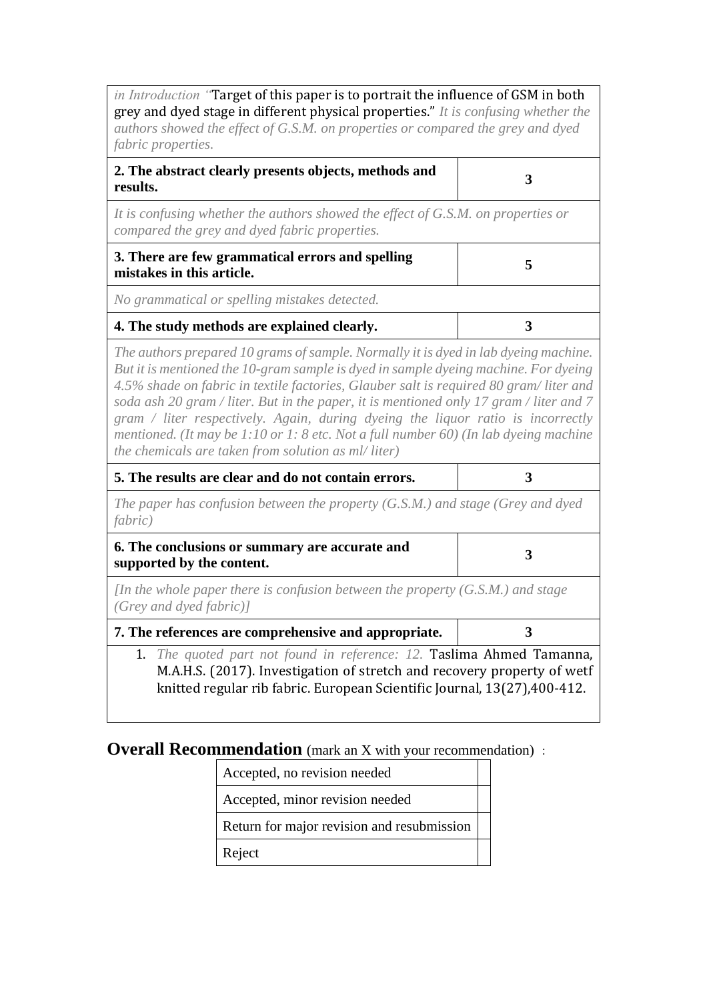*in Introduction "*Target of this paper is to portrait the influence of GSM in both grey and dyed stage in different physical properties." *It is confusing whether the authors showed the effect of G.S.M. on properties or compared the grey and dyed fabric properties.*

| 2. The abstract clearly presents objects, methods and |  |
|-------------------------------------------------------|--|
| results.                                              |  |

*It is confusing whether the authors showed the effect of G.S.M. on properties or compared the grey and dyed fabric properties.*

| 3. There are few grammatical errors and spelling<br>mistakes in this article. |  |
|-------------------------------------------------------------------------------|--|
| No grammatical or spelling mistakes detected.                                 |  |
| 4. The study methods are explained clearly.                                   |  |

*The authors prepared 10 grams of sample. Normally it is dyed in lab dyeing machine. But it is mentioned the 10-gram sample is dyed in sample dyeing machine. For dyeing 4.5% shade on fabric in textile factories, Glauber salt is required 80 gram/ liter and soda ash 20 gram / liter. But in the paper, it is mentioned only 17 gram / liter and 7 gram / liter respectively. Again, during dyeing the liquor ratio is incorrectly mentioned. (It may be 1:10 or 1: 8 etc. Not a full number 60) (In lab dyeing machine the chemicals are taken from solution as ml/ liter)*

| 5. The results are clear and do not contain errors.                                                                                                                                                                           |   |
|-------------------------------------------------------------------------------------------------------------------------------------------------------------------------------------------------------------------------------|---|
| The paper has confusion between the property $(G.S.M.)$ and stage (Grey and dyed<br><i>fabric</i> )                                                                                                                           |   |
| 6. The conclusions or summary are accurate and<br>supported by the content.                                                                                                                                                   | 3 |
| In the whole paper there is confusion between the property $(G.S.M.)$ and stage<br>(Grey and dyed fabric)                                                                                                                     |   |
| 7. The references are comprehensive and appropriate.                                                                                                                                                                          | 3 |
| 1. The quoted part not found in reference: 12. Taslima Ahmed Tamanna,<br>M.A.H.S. (2017). Investigation of stretch and recovery property of wetf<br>knitted regular rib fabric. European Scientific Journal, 13(27), 400-412. |   |

### **Overall Recommendation** (mark an X with your recommendation) :

| Accepted, no revision needed               |  |
|--------------------------------------------|--|
| Accepted, minor revision needed            |  |
| Return for major revision and resubmission |  |
| Reject                                     |  |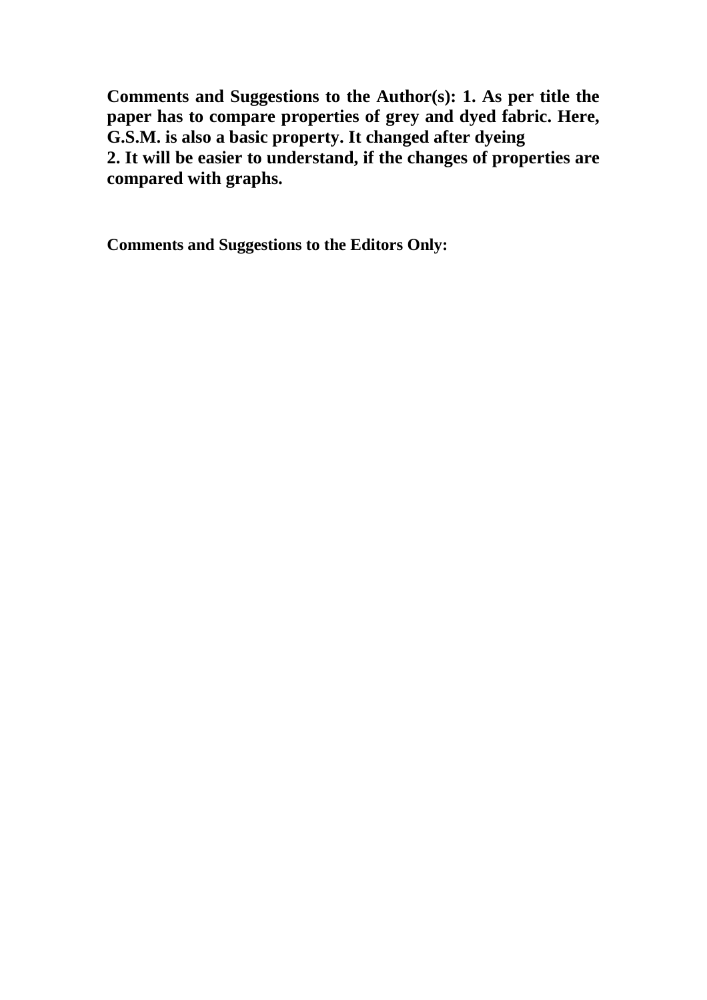**Comments and Suggestions to the Author(s): 1. As per title the paper has to compare properties of grey and dyed fabric. Here, G.S.M. is also a basic property. It changed after dyeing 2. It will be easier to understand, if the changes of properties are compared with graphs.**

**Comments and Suggestions to the Editors Only:**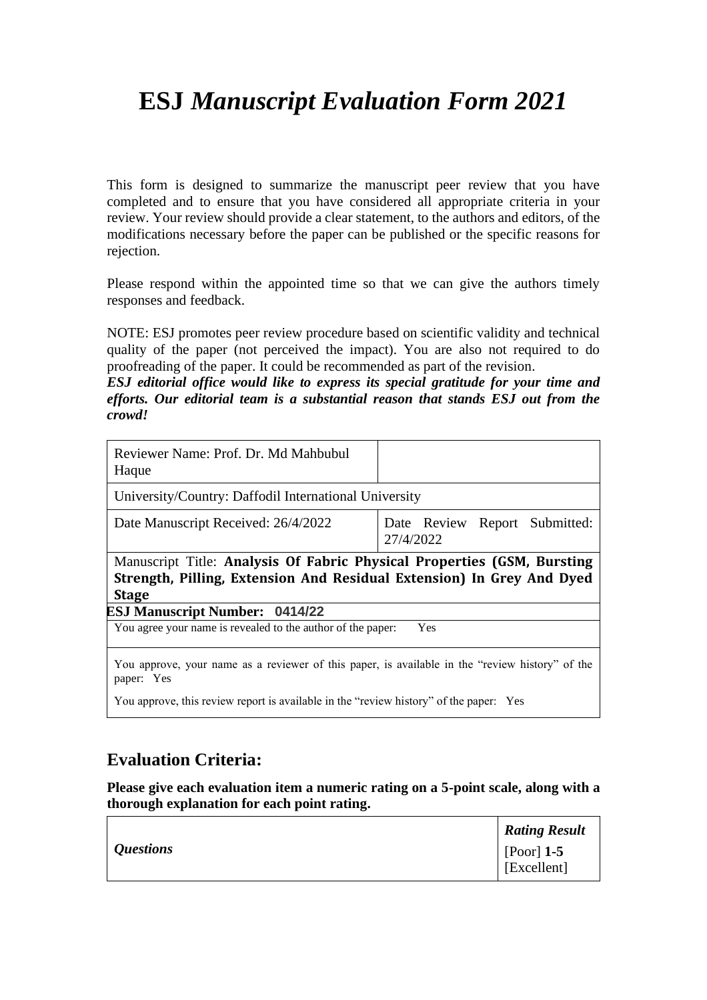# **ESJ** *Manuscript Evaluation Form 2021*

This form is designed to summarize the manuscript peer review that you have completed and to ensure that you have considered all appropriate criteria in your review. Your review should provide a clear statement, to the authors and editors, of the modifications necessary before the paper can be published or the specific reasons for rejection.

Please respond within the appointed time so that we can give the authors timely responses and feedback.

NOTE: ESJ promotes peer review procedure based on scientific validity and technical quality of the paper (not perceived the impact). You are also not required to do proofreading of the paper. It could be recommended as part of the revision.

*ESJ editorial office would like to express its special gratitude for your time and efforts. Our editorial team is a substantial reason that stands ESJ out from the crowd!*

| Reviewer Name: Prof. Dr. Md Mahbubul<br>Haque                                                                                                          |           |     |                               |
|--------------------------------------------------------------------------------------------------------------------------------------------------------|-----------|-----|-------------------------------|
| University/Country: Daffodil International University                                                                                                  |           |     |                               |
| Date Manuscript Received: 26/4/2022                                                                                                                    | 27/4/2022 |     | Date Review Report Submitted: |
| Manuscript Title: Analysis Of Fabric Physical Properties (GSM, Bursting<br>Strength, Pilling, Extension And Residual Extension) In Grey And Dyed       |           |     |                               |
| <b>Stage</b>                                                                                                                                           |           |     |                               |
|                                                                                                                                                        |           |     |                               |
| You agree your name is revealed to the author of the paper:                                                                                            |           | Yes |                               |
| <b>ESJ Manuscript Number: 0414/22</b><br>You approve, your name as a reviewer of this paper, is available in the "review history" of the<br>paper: Yes |           |     |                               |

## **Evaluation Criteria:**

**Please give each evaluation item a numeric rating on a 5-point scale, along with a thorough explanation for each point rating.**

|                  | <b>Rating Result</b>              |
|------------------|-----------------------------------|
| <i>Questions</i> | $\vert$ [Poor] 1-5<br>[Excellent] |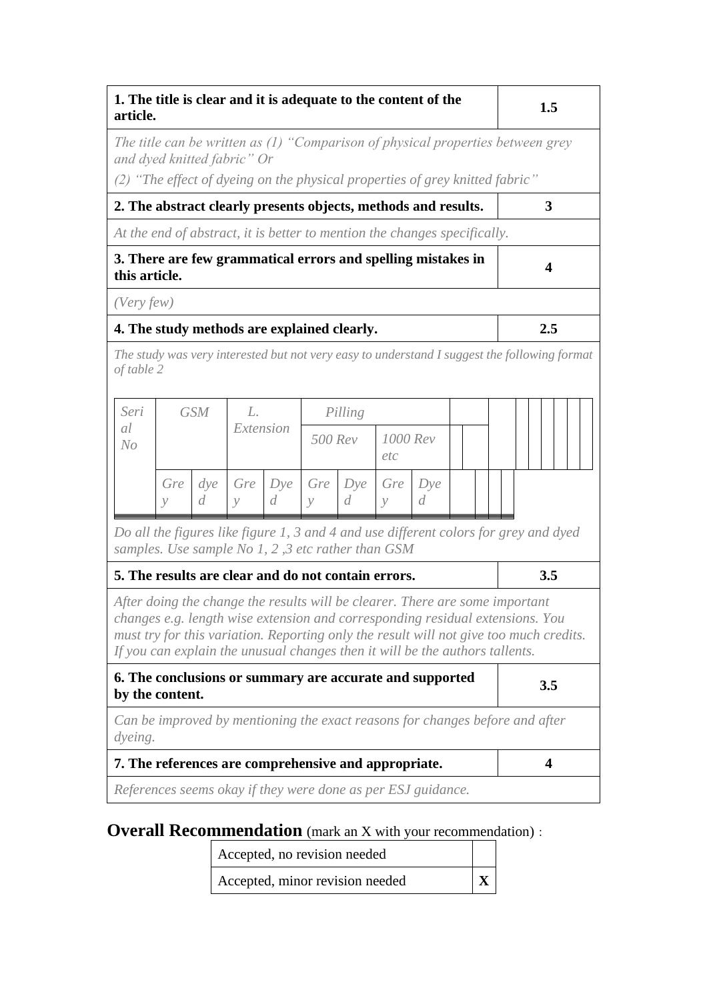| 1. The title is clear and it is adequate to the content of the<br>article.                                                                                   |                      |                    |                      |                       |                      |                       |                      |          | 1.5 |  |  |                                                                                                                                                                         |  |
|--------------------------------------------------------------------------------------------------------------------------------------------------------------|----------------------|--------------------|----------------------|-----------------------|----------------------|-----------------------|----------------------|----------|-----|--|--|-------------------------------------------------------------------------------------------------------------------------------------------------------------------------|--|
| and dyed knitted fabric" Or                                                                                                                                  |                      |                    |                      |                       |                      |                       |                      |          |     |  |  | The title can be written as (1) "Comparison of physical properties between grey                                                                                         |  |
| (2) "The effect of dyeing on the physical properties of grey knitted fabric"                                                                                 |                      |                    |                      |                       |                      |                       |                      |          |     |  |  |                                                                                                                                                                         |  |
| 2. The abstract clearly presents objects, methods and results.                                                                                               |                      |                    |                      |                       |                      |                       |                      |          |     |  |  | 3                                                                                                                                                                       |  |
| At the end of abstract, it is better to mention the changes specifically.                                                                                    |                      |                    |                      |                       |                      |                       |                      |          |     |  |  |                                                                                                                                                                         |  |
| 3. There are few grammatical errors and spelling mistakes in<br>this article.                                                                                |                      |                    |                      |                       |                      |                       |                      |          |     |  |  | $\overline{\mathbf{4}}$                                                                                                                                                 |  |
| (Very few)                                                                                                                                                   |                      |                    |                      |                       |                      |                       |                      |          |     |  |  |                                                                                                                                                                         |  |
| 4. The study methods are explained clearly.                                                                                                                  |                      |                    |                      |                       |                      |                       |                      |          |     |  |  | 2.5                                                                                                                                                                     |  |
| of table 2                                                                                                                                                   |                      |                    |                      |                       |                      |                       |                      |          |     |  |  | The study was very interested but not very easy to understand I suggest the following format                                                                            |  |
| Seri<br>al                                                                                                                                                   |                      | <b>GSM</b>         | L.<br>Extension      |                       |                      | Pilling               |                      |          |     |  |  |                                                                                                                                                                         |  |
| No                                                                                                                                                           |                      |                    |                      |                       | 500 Rev              |                       | 1000 Rev<br>etc      |          |     |  |  |                                                                                                                                                                         |  |
|                                                                                                                                                              | Gre<br>$\mathcal{V}$ | $\frac{d}{v}$<br>d | Gre<br>$\mathcal{Y}$ | Dye<br>$\overline{d}$ | Gre<br>$\mathcal{Y}$ | Dye<br>$\overline{d}$ | Gre<br>$\mathcal{Y}$ | Dye<br>d |     |  |  |                                                                                                                                                                         |  |
| samples. Use sample No 1, 2, 3 etc rather than GSM                                                                                                           |                      |                    |                      |                       |                      |                       |                      |          |     |  |  | Do all the figures like figure 1, 3 and 4 and use different colors for grey and dyed                                                                                    |  |
| 5. The results are clear and do not contain errors.                                                                                                          |                      |                    |                      |                       |                      |                       |                      |          |     |  |  | 3.5                                                                                                                                                                     |  |
| After doing the change the results will be clearer. There are some important<br>If you can explain the unusual changes then it will be the authors tallents. |                      |                    |                      |                       |                      |                       |                      |          |     |  |  | changes e.g. length wise extension and corresponding residual extensions. You<br>must try for this variation. Reporting only the result will not give too much credits. |  |
| 6. The conclusions or summary are accurate and supported<br>by the content.                                                                                  |                      |                    |                      |                       |                      |                       |                      |          |     |  |  | 3.5                                                                                                                                                                     |  |
| dyeing.                                                                                                                                                      |                      |                    |                      |                       |                      |                       |                      |          |     |  |  | Can be improved by mentioning the exact reasons for changes before and after                                                                                            |  |
| 7. The references are comprehensive and appropriate.                                                                                                         |                      |                    |                      |                       |                      |                       |                      |          |     |  |  | $\overline{\mathbf{4}}$                                                                                                                                                 |  |
| References seems okay if they were done as per ESJ guidance.                                                                                                 |                      |                    |                      |                       |                      |                       |                      |          |     |  |  |                                                                                                                                                                         |  |

**Overall Recommendation** (mark an X with your recommendation):

Accepted, no revision needed

Accepted, minor revision needed **X**